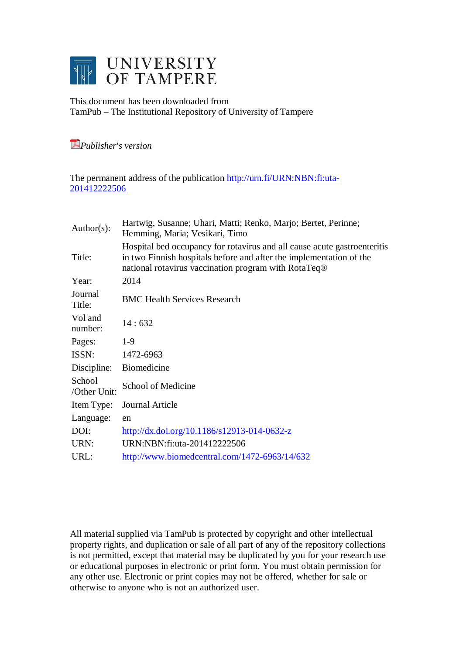

This document has been downloaded from TamPub – The Institutional Repository of University of Tampere

# *Publisher's version*

The permanent address of the publication [http://urn.fi/URN:NBN:fi:uta-](http://urn.fi/URN:NBN:fi:uta-201412222506)[201412222506](http://urn.fi/URN:NBN:fi:uta-201412222506)

| Author( $s$ ):         | Hartwig, Susanne; Uhari, Matti; Renko, Marjo; Bertet, Perinne;<br>Hemming, Maria; Vesikari, Timo                                                                                                        |
|------------------------|---------------------------------------------------------------------------------------------------------------------------------------------------------------------------------------------------------|
| Title:                 | Hospital bed occupancy for rotavirus and all cause acute gastroenteritis<br>in two Finnish hospitals before and after the implementation of the<br>national rotavirus vaccination program with RotaTeq® |
| Year:                  | 2014                                                                                                                                                                                                    |
| Journal<br>Title:      | <b>BMC Health Services Research</b>                                                                                                                                                                     |
| Vol and<br>number:     | 14:632                                                                                                                                                                                                  |
| Pages:                 | $1-9$                                                                                                                                                                                                   |
| ISSN:                  | 1472-6963                                                                                                                                                                                               |
| Discipline:            | <b>Biomedicine</b>                                                                                                                                                                                      |
| School<br>/Other Unit: | School of Medicine                                                                                                                                                                                      |
| Item Type:             | Journal Article                                                                                                                                                                                         |
| Language:              | en                                                                                                                                                                                                      |
| DOI:                   | http://dx.doi.org/10.1186/s12913-014-0632-z                                                                                                                                                             |
| URN:                   | URN:NBN:fi:uta-201412222506                                                                                                                                                                             |
| URL:                   | http://www.biomedcentral.com/1472-6963/14/632                                                                                                                                                           |

All material supplied via TamPub is protected by copyright and other intellectual property rights, and duplication or sale of all part of any of the repository collections is not permitted, except that material may be duplicated by you for your research use or educational purposes in electronic or print form. You must obtain permission for any other use. Electronic or print copies may not be offered, whether for sale or otherwise to anyone who is not an authorized user.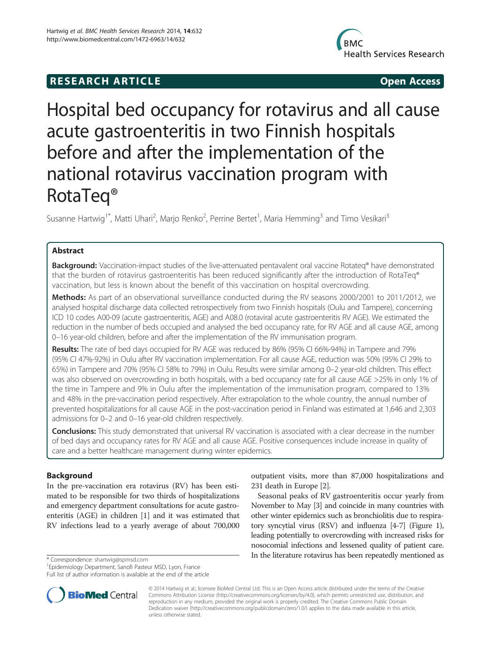# **RESEARCH ARTICLE Example 2014 12:30 The SEAR CHA RESEARCH ARTICLE**



# Hospital bed occupancy for rotavirus and all cause acute gastroenteritis in two Finnish hospitals before and after the implementation of the national rotavirus vaccination program with RotaTeq®

Susanne Hartwig<sup>1\*</sup>, Matti Uhari<sup>2</sup>, Marjo Renko<sup>2</sup>, Perrine Bertet<sup>1</sup>, Maria Hemming<sup>3</sup> and Timo Vesikari<sup>3</sup>

# Abstract

Background: Vaccination-impact studies of the live-attenuated pentavalent oral vaccine Rotateq® have demonstrated that the burden of rotavirus gastroenteritis has been reduced significantly after the introduction of RotaTeq® vaccination, but less is known about the benefit of this vaccination on hospital overcrowding.

Methods: As part of an observational surveillance conducted during the RV seasons 2000/2001 to 2011/2012, we analysed hospital discharge data collected retrospectively from two Finnish hospitals (Oulu and Tampere), concerning ICD 10 codes A00-09 (acute gastroenteritis, AGE) and A08.0 (rotaviral acute gastroenteritis RV AGE). We estimated the reduction in the number of beds occupied and analysed the bed occupancy rate, for RV AGE and all cause AGE, among 0–16 year-old children, before and after the implementation of the RV immunisation program.

Results: The rate of bed days occupied for RV AGE was reduced by 86% (95% CI 66%-94%) in Tampere and 79% (95% CI 47%-92%) in Oulu after RV vaccination implementation. For all cause AGE, reduction was 50% (95% CI 29% to 65%) in Tampere and 70% (95% CI 58% to 79%) in Oulu. Results were similar among 0–2 year-old children. This effect was also observed on overcrowding in both hospitals, with a bed occupancy rate for all cause AGE >25% in only 1% of the time in Tampere and 9% in Oulu after the implementation of the immunisation program, compared to 13% and 48% in the pre-vaccination period respectively. After extrapolation to the whole country, the annual number of prevented hospitalizations for all cause AGE in the post-vaccination period in Finland was estimated at 1,646 and 2,303 admissions for 0–2 and 0–16 year-old children respectively.

Conclusions: This study demonstrated that universal RV vaccination is associated with a clear decrease in the number of bed days and occupancy rates for RV AGE and all cause AGE. Positive consequences include increase in quality of care and a better healthcare management during winter epidemics.

# Background

In the pre-vaccination era rotavirus (RV) has been estimated to be responsible for two thirds of hospitalizations and emergency department consultations for acute gastroenteritis (AGE) in children [[1\]](#page-8-0) and it was estimated that RV infections lead to a yearly average of about 700,000



Seasonal peaks of RV gastroenteritis occur yearly from November to May [\[3\]](#page-8-0) and coincide in many countries with other winter epidemics such as bronchiolitis due to respiratory syncytial virus (RSV) and influenza [\[4-7](#page-8-0)] (Figure [1](#page-2-0)), leading potentially to overcrowding with increased risks for nosocomial infections and lessened quality of patient care. \* Correspondence: [shartwig@spmsd.com](mailto:shartwig@spmsd.com) **1996** In the literature rotavirus has been repeatedly mentioned as



© 2014 Hartwig et al.; licensee BioMed Central Ltd. This is an Open Access article distributed under the terms of the Creative Commons Attribution License [\(http://creativecommons.org/licenses/by/4.0\)](http://creativecommons.org/licenses/by/4.0), which permits unrestricted use, distribution, and reproduction in any medium, provided the original work is properly credited. The Creative Commons Public Domain Dedication waiver [\(http://creativecommons.org/publicdomain/zero/1.0/](http://creativecommons.org/publicdomain/zero/1.0/)) applies to the data made available in this article, unless otherwise stated.

<sup>&</sup>lt;sup>1</sup> Epidemiology Department, Sanofi Pasteur MSD, Lyon, France Full list of author information is available at the end of the article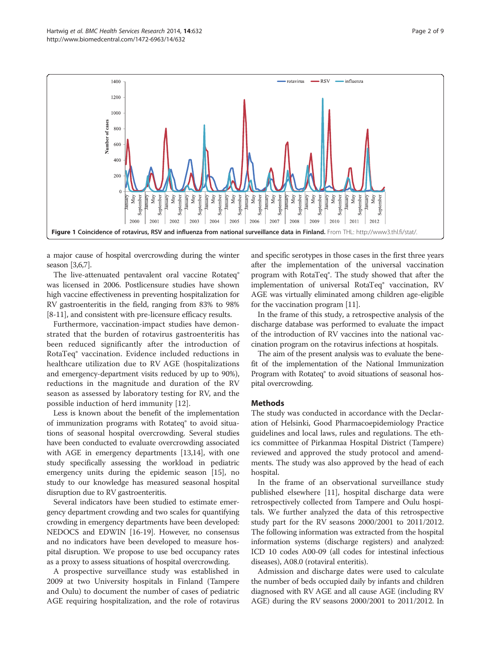<span id="page-2-0"></span>

a major cause of hospital overcrowding during the winter season [\[3,6,7](#page-8-0)].

The live-attenuated pentavalent oral vaccine Rotateq® was licensed in 2006. Postlicensure studies have shown high vaccine effectiveness in preventing hospitalization for RV gastroenteritis in the field, ranging from 83% to 98% [[8-11\]](#page-8-0), and consistent with pre-licensure efficacy results.

Furthermore, vaccination-impact studies have demonstrated that the burden of rotavirus gastroenteritis has been reduced significantly after the introduction of RotaTeq® vaccination. Evidence included reductions in healthcare utilization due to RV AGE (hospitalizations and emergency-department visits reduced by up to 90%), reductions in the magnitude and duration of the RV season as assessed by laboratory testing for RV, and the possible induction of herd immunity [[12\]](#page-8-0).

Less is known about the benefit of the implementation of immunization programs with Rotateq® to avoid situations of seasonal hospital overcrowding. Several studies have been conducted to evaluate overcrowding associated with AGE in emergency departments [\[13,14](#page-9-0)], with one study specifically assessing the workload in pediatric emergency units during the epidemic season [\[15](#page-9-0)], no study to our knowledge has measured seasonal hospital disruption due to RV gastroenteritis.

Several indicators have been studied to estimate emergency department crowding and two scales for quantifying crowding in emergency departments have been developed: NEDOCS and EDWIN [\[16-19](#page-9-0)]. However, no consensus and no indicators have been developed to measure hospital disruption. We propose to use bed occupancy rates as a proxy to assess situations of hospital overcrowding.

A prospective surveillance study was established in 2009 at two University hospitals in Finland (Tampere and Oulu) to document the number of cases of pediatric AGE requiring hospitalization, and the role of rotavirus

and specific serotypes in those cases in the first three years after the implementation of the universal vaccination program with RotaTeq®. The study showed that after the implementation of universal RotaTeq® vaccination, RV AGE was virtually eliminated among children age-eligible for the vaccination program [\[11\]](#page-8-0).

In the frame of this study, a retrospective analysis of the discharge database was performed to evaluate the impact of the introduction of RV vaccines into the national vaccination program on the rotavirus infections at hospitals.

The aim of the present analysis was to evaluate the benefit of the implementation of the National Immunization Program with Rotateq<sup>®</sup> to avoid situations of seasonal hospital overcrowding.

## **Methods**

The study was conducted in accordance with the Declaration of Helsinki, Good Pharmacoepidemiology Practice guidelines and local laws, rules and regulations. The ethics committee of Pirkanmaa Hospital District (Tampere) reviewed and approved the study protocol and amendments. The study was also approved by the head of each hospital.

In the frame of an observational surveillance study published elsewhere [[11\]](#page-8-0), hospital discharge data were retrospectively collected from Tampere and Oulu hospitals. We further analyzed the data of this retrospective study part for the RV seasons 2000/2001 to 2011/2012. The following information was extracted from the hospital information systems (discharge registers) and analyzed: ICD 10 codes A00-09 (all codes for intestinal infectious diseases), A08.0 (rotaviral enteritis).

Admission and discharge dates were used to calculate the number of beds occupied daily by infants and children diagnosed with RV AGE and all cause AGE (including RV AGE) during the RV seasons 2000/2001 to 2011/2012. In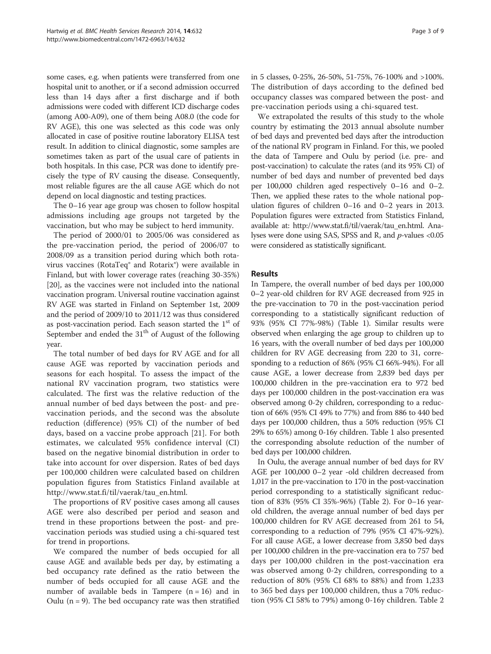some cases, e.g. when patients were transferred from one hospital unit to another, or if a second admission occurred less than 14 days after a first discharge and if both admissions were coded with different ICD discharge codes (among A00-A09), one of them being A08.0 (the code for RV AGE), this one was selected as this code was only allocated in case of positive routine laboratory ELISA test result. In addition to clinical diagnostic, some samples are sometimes taken as part of the usual care of patients in both hospitals. In this case, PCR was done to identify precisely the type of RV causing the disease. Consequently, most reliable figures are the all cause AGE which do not depend on local diagnostic and testing practices.

The 0–16 year age group was chosen to follow hospital admissions including age groups not targeted by the vaccination, but who may be subject to herd immunity.

The period of 2000/01 to 2005/06 was considered as the pre-vaccination period, the period of 2006/07 to 2008/09 as a transition period during which both rotavirus vaccines (RotaTeq® and Rotarix®) were available in Finland, but with lower coverage rates (reaching 30-35%) [[20\]](#page-9-0), as the vaccines were not included into the national vaccination program. Universal routine vaccination against RV AGE was started in Finland on September 1st, 2009 and the period of 2009/10 to 2011/12 was thus considered as post-vaccination period. Each season started the  $1<sup>st</sup>$  of September and ended the  $31<sup>th</sup>$  of August of the following year.

The total number of bed days for RV AGE and for all cause AGE was reported by vaccination periods and seasons for each hospital. To assess the impact of the national RV vaccination program, two statistics were calculated. The first was the relative reduction of the annual number of bed days between the post- and prevaccination periods, and the second was the absolute reduction (difference) (95% CI) of the number of bed days, based on a vaccine probe approach [\[21](#page-9-0)]. For both estimates, we calculated 95% confidence interval (CI) based on the negative binomial distribution in order to take into account for over dispersion. Rates of bed days per 100,000 children were calculated based on children population figures from Statistics Finland available at [http://www.stat.fi/til/vaerak/tau\\_en.html](http://www.stat.fi/til/vaerak/tau_en.html).

The proportions of RV positive cases among all causes AGE were also described per period and season and trend in these proportions between the post- and prevaccination periods was studied using a chi-squared test for trend in proportions.

We compared the number of beds occupied for all cause AGE and available beds per day, by estimating a bed occupancy rate defined as the ratio between the number of beds occupied for all cause AGE and the number of available beds in Tampere  $(n = 16)$  and in Oulu  $(n = 9)$ . The bed occupancy rate was then stratified in 5 classes, 0-25%, 26-50%, 51-75%, 76-100% and >100%. The distribution of days according to the defined bed occupancy classes was compared between the post- and pre-vaccination periods using a chi-squared test.

We extrapolated the results of this study to the whole country by estimating the 2013 annual absolute number of bed days and prevented bed days after the introduction of the national RV program in Finland. For this, we pooled the data of Tampere and Oulu by period (i.e. pre- and post-vaccination) to calculate the rates (and its 95% CI) of number of bed days and number of prevented bed days per 100,000 children aged respectively 0–16 and 0–2. Then, we applied these rates to the whole national population figures of children 0–16 and 0–2 years in 2013. Population figures were extracted from Statistics Finland, available at: [http://www.stat.fi/til/vaerak/tau\\_en.html.](http://www.stat.fi/til/vaerak/tau_en.html) Analyses were done using SAS, SPSS and R, and p-values <0.05 were considered as statistically significant.

# Results

In Tampere, the overall number of bed days per 100,000 0–2 year-old children for RV AGE decreased from 925 in the pre-vaccination to 70 in the post-vaccination period corresponding to a statistically significant reduction of 93% (95% CI 77%-98%) (Table [1\)](#page-4-0). Similar results were observed when enlarging the age group to children up to 16 years, with the overall number of bed days per 100,000 children for RV AGE decreasing from 220 to 31, corresponding to a reduction of 86% (95% CI 66%-94%). For all cause AGE, a lower decrease from 2,839 bed days per 100,000 children in the pre-vaccination era to 972 bed days per 100,000 children in the post-vaccination era was observed among 0-2y children, corresponding to a reduction of 66% (95% CI 49% to 77%) and from 886 to 440 bed days per 100,000 children, thus a 50% reduction (95% CI 29% to 65%) among 0-16y children. Table [1](#page-4-0) also presented the corresponding absolute reduction of the number of bed days per 100,000 children.

In Oulu, the average annual number of bed days for RV AGE per 100,000 0–2 year -old children decreased from 1,017 in the pre-vaccination to 170 in the post-vaccination period corresponding to a statistically significant reduction of 83% (95% CI 35%-96%) (Table [2\)](#page-5-0). For 0–16 yearold children, the average annual number of bed days per 100,000 children for RV AGE decreased from 261 to 54, corresponding to a reduction of 79% (95% CI 47%-92%). For all cause AGE, a lower decrease from 3,850 bed days per 100,000 children in the pre-vaccination era to 757 bed days per 100,000 children in the post-vaccination era was observed among 0-2y children, corresponding to a reduction of 80% (95% CI 68% to 88%) and from 1,233 to 365 bed days per 100,000 children, thus a 70% reduction (95% CI 58% to 79%) among 0-16y children. Table [2](#page-5-0)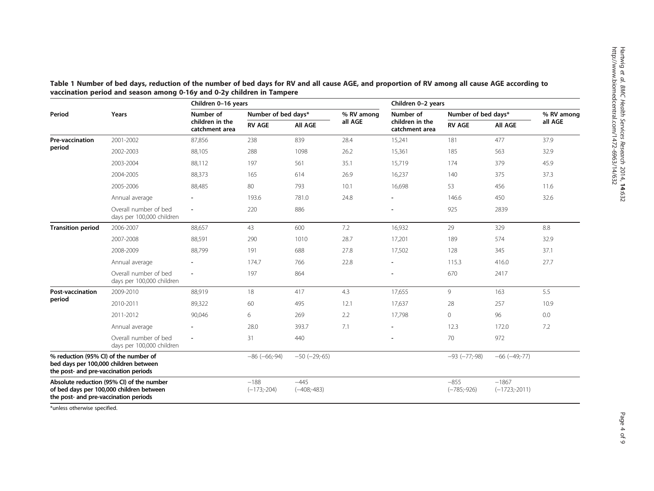|                                                                                                                                |                                                    | Children 0-16 years               |                          |                          |         | Children 0-2 years                |                         |                             |            |
|--------------------------------------------------------------------------------------------------------------------------------|----------------------------------------------------|-----------------------------------|--------------------------|--------------------------|---------|-----------------------------------|-------------------------|-----------------------------|------------|
| Period                                                                                                                         | Years                                              | Number of                         |                          | Number of bed days*      |         | Number of                         | Number of bed days*     |                             | % RV among |
|                                                                                                                                |                                                    | children in the<br>catchment area | <b>RV AGE</b>            | All AGE                  | all AGE | children in the<br>catchment area | <b>RV AGE</b>           | All AGE                     | all AGE    |
| <b>Pre-vaccination</b>                                                                                                         | 2001-2002                                          | 87,856                            | 238                      | 839                      | 28.4    | 15,241                            | 181                     | 477                         | 37.9       |
| period                                                                                                                         | 2002-2003                                          | 88,105                            | 288                      | 1098                     | 26.2    | 15,361                            | 185                     | 563                         | 32.9       |
|                                                                                                                                | 2003-2004                                          | 88,112                            | 197                      | 561                      | 35.1    | 15,719                            | 174                     | 379                         | 45.9       |
|                                                                                                                                | 2004-2005                                          | 88,373                            | 165                      | 614                      | 26.9    | 16,237                            | 140                     | 375                         | 37.3       |
|                                                                                                                                | 2005-2006                                          | 88,485                            | 80                       | 793                      | 10.1    | 16,698                            | 53                      | 456                         | 11.6       |
|                                                                                                                                | Annual average                                     |                                   | 193.6                    | 781.0                    | 24.8    |                                   | 146.6                   | 450                         | 32.6       |
|                                                                                                                                | Overall number of bed<br>days per 100,000 children |                                   | 220                      | 886                      |         |                                   | 925                     | 2839                        |            |
| <b>Transition period</b>                                                                                                       | 2006-2007                                          | 88,657                            | 43                       | 600                      | 7.2     | 16,932                            | 29                      | 329                         | 8.8        |
|                                                                                                                                | 2007-2008                                          | 88,591                            | 290                      | 1010                     | 28.7    | 17,201                            | 189                     | 574                         | 32.9       |
|                                                                                                                                | 2008-2009                                          | 88,799                            | 191                      | 688                      | 27.8    | 17,502                            | 128                     | 345                         | 37.1       |
|                                                                                                                                | Annual average                                     |                                   | 174.7                    | 766                      | 22.8    |                                   | 115.3                   | 416.0                       | 27.7       |
|                                                                                                                                | Overall number of bed<br>days per 100,000 children | $\sim$                            | 197                      | 864                      |         |                                   | 670                     | 2417                        |            |
| <b>Post-vaccination</b>                                                                                                        | 2009-2010                                          | 88,919                            | 18                       | 417                      | 4.3     | 17,655                            | 9                       | 163                         | 5.5        |
| period                                                                                                                         | 2010-2011                                          | 89,322                            | 60                       | 495                      | 12.1    | 17,637                            | 28                      | 257                         | 10.9       |
|                                                                                                                                | 2011-2012                                          | 90,046                            | 6                        | 269                      | 2.2     | 17,798                            | $\circ$                 | 96                          | 0.0        |
|                                                                                                                                | Annual average                                     |                                   | 28.0                     | 393.7                    | 7.1     |                                   | 12.3                    | 172.0                       | 7.2        |
|                                                                                                                                | Overall number of bed<br>days per 100,000 children |                                   | 31                       | 440                      |         |                                   | 70                      | 972                         |            |
| % reduction (95% CI) of the number of<br>bed days per 100,000 children between<br>the post- and pre-vaccination periods        |                                                    |                                   | $-86 (-66, -94)$         | $-50 (-29,-65)$          |         |                                   | $-93 (-77,-98)$         | $-66 (-49; -77)$            |            |
| Absolute reduction (95% CI) of the number<br>of bed days per 100,000 children between<br>the post- and pre-vaccination periods |                                                    |                                   | $-188$<br>$(-173; -204)$ | $-445$<br>$(-408; -483)$ |         |                                   | $-855$<br>$(-785,-926)$ | $-1867$<br>$(-1723; -2011)$ |            |

<span id="page-4-0"></span>Table <sup>1</sup> Number of bed days, reduction of the number of bed days for RV and all cause AGE, and proportion of RV among all cause AGE according to vaccination period and season among 0-16y and 0-2y children in Tampere

\*unless otherwise specified.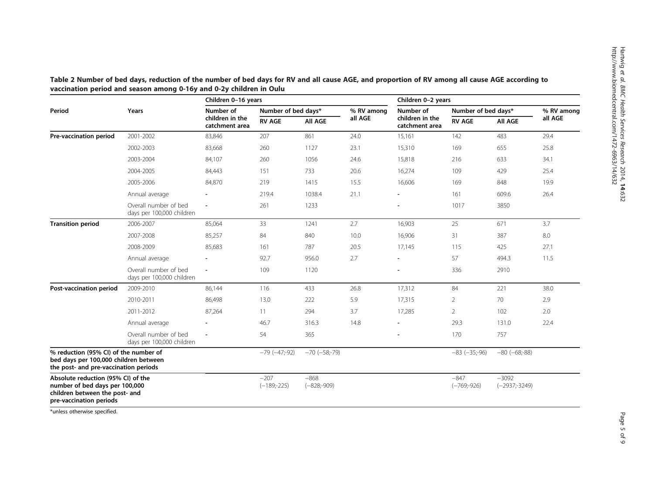|                                                                                                                         | Years                                              | Children 0-16 years               |                          |                          |                       | Children 0-2 years                             |                          |                            |            |
|-------------------------------------------------------------------------------------------------------------------------|----------------------------------------------------|-----------------------------------|--------------------------|--------------------------|-----------------------|------------------------------------------------|--------------------------|----------------------------|------------|
| Period                                                                                                                  |                                                    | Number of                         | Number of bed days*      |                          | % RV among<br>all AGE | Number of<br>children in the<br>catchment area | Number of bed days*      |                            | % RV among |
|                                                                                                                         |                                                    | children in the<br>catchment area | <b>RV AGE</b>            | All AGE                  |                       |                                                | <b>RV AGE</b>            | <b>All AGE</b>             | all AGE    |
| Pre-vaccination period                                                                                                  | 2001-2002                                          | 83,846                            | 207                      | 861                      | 24.0                  | 15,161                                         | 142                      | 483                        | 29.4       |
|                                                                                                                         | 2002-2003                                          | 83,668                            | 260                      | 1127                     | 23.1                  | 15,310                                         | 169                      | 655                        | 25.8       |
|                                                                                                                         | 2003-2004                                          | 84,107                            | 260                      | 1056                     | 24.6                  | 15,818                                         | 216                      | 633                        | 34.1       |
|                                                                                                                         | 2004-2005                                          | 84,443                            | 151                      | 733                      | 20.6                  | 16,274                                         | 109                      | 429                        | 25.4       |
|                                                                                                                         | 2005-2006                                          | 84,870                            | 219                      | 1415                     | 15.5                  | 16,606                                         | 169                      | 848                        | 19.9       |
|                                                                                                                         | Annual average                                     |                                   | 219.4                    | 1038.4                   | 21.1                  |                                                | 161                      | 609.6                      | 26.4       |
|                                                                                                                         | Overall number of bed<br>days per 100,000 children | $\blacksquare$                    | 261                      | 1233                     |                       |                                                | 1017                     | 3850                       |            |
| <b>Transition period</b>                                                                                                | 2006-2007                                          | 85,064                            | 33                       | 1241                     | 2.7                   | 16,903                                         | 25                       | 671                        | 3.7        |
|                                                                                                                         | 2007-2008                                          | 85,257                            | 84                       | 840                      | 10.0                  | 16,906                                         | 31                       | 387                        | 8.0        |
|                                                                                                                         | 2008-2009                                          | 85,683                            | 161                      | 787                      | 20.5                  | 17,145                                         | 115                      | 425                        | 27.1       |
|                                                                                                                         | Annual average                                     |                                   | 92.7                     | 956.0                    | 2.7                   |                                                | 57                       | 494.3                      | 11.5       |
|                                                                                                                         | Overall number of bed<br>days per 100,000 children | $\blacksquare$                    | 109                      | 1120                     |                       |                                                | 336                      | 2910                       |            |
| Post-vaccination period                                                                                                 | 2009-2010                                          | 86,144                            | 116                      | 433                      | 26.8                  | 17,312                                         | 84                       | 221                        | 38.0       |
|                                                                                                                         | 2010-2011                                          | 86,498                            | 13.0                     | 222                      | 5.9                   | 17,315                                         | 2                        | 70                         | 2.9        |
|                                                                                                                         | 2011-2012                                          | 87,264                            | 11                       | 294                      | 3.7                   | 17,285                                         | 2                        | 102                        | 2.0        |
|                                                                                                                         | Annual average                                     |                                   | 46.7                     | 316.3                    | 14.8                  |                                                | 29.3                     | 131.0                      | 22.4       |
|                                                                                                                         | Overall number of bed<br>days per 100,000 children | $\overline{\phantom{a}}$          | 54                       | 365                      |                       |                                                | 170                      | 757                        |            |
| % reduction (95% CI) of the number of<br>bed days per 100,000 children between<br>the post- and pre-vaccination periods |                                                    |                                   | $-79(-47,-92)$           | $-70(-58,-79)$           |                       |                                                | $-83 (-35,-96)$          | $-80 (-68, -88)$           |            |
| Absolute reduction (95% CI) of the<br>number of bed days per 100,000<br>children between the post- and                  |                                                    |                                   | $-207$<br>$(-189; -225)$ | $-868$<br>$(-828; -909)$ |                       |                                                | $-847$<br>$(-769; -926)$ | $-3092$<br>$(-2937,-3249)$ |            |

<span id="page-5-0"></span>Table 2 Number of bed days, reduction of the number of bed days for RV and all cause AGE, and proportion of RV among all cause AGE according to vaccination period and season among 0-16y and 0-2y children in Oulu

pre-vaccination periods \*unless otherwise specified.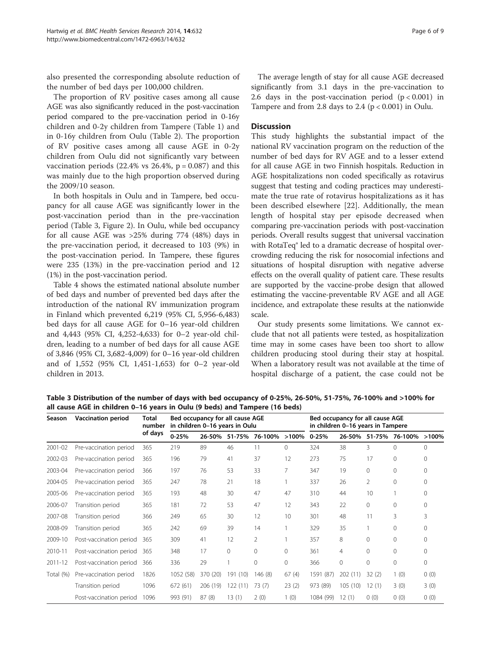also presented the corresponding absolute reduction of the number of bed days per 100,000 children.

The proportion of RV positive cases among all cause AGE was also significantly reduced in the post-vaccination period compared to the pre-vaccination period in 0-16y children and 0-2y children from Tampere (Table [1\)](#page-4-0) and in 0-16y children from Oulu (Table [2](#page-5-0)). The proportion of RV positive cases among all cause AGE in 0-2y children from Oulu did not significantly vary between vaccination periods (22.4% vs 26.4%,  $p = 0.087$ ) and this was mainly due to the high proportion observed during the 2009/10 season.

In both hospitals in Oulu and in Tampere, bed occupancy for all cause AGE was significantly lower in the post-vaccination period than in the pre-vaccination period (Table 3, Figure [2](#page-7-0)). In Oulu, while bed occupancy for all cause AGE was >25% during 774 (48%) days in the pre-vaccination period, it decreased to 103 (9%) in the post-vaccination period. In Tampere, these figures were 235 (13%) in the pre-vaccination period and 12 (1%) in the post-vaccination period.

Table [4](#page-7-0) shows the estimated national absolute number of bed days and number of prevented bed days after the introduction of the national RV immunization program in Finland which prevented 6,219 (95% CI, 5,956-6,483) bed days for all cause AGE for 0–16 year-old children and 4,443 (95% CI, 4,252-4,633) for 0–2 year-old children, leading to a number of bed days for all cause AGE of 3,846 (95% CI, 3,682-4,009) for 0–16 year-old children and of 1,552 (95% CI, 1,451-1,653) for 0–2 year-old children in 2013.

The average length of stay for all cause AGE decreased significantly from 3.1 days in the pre-vaccination to 2.6 days in the post-vaccination period  $(p < 0.001)$  in Tampere and from 2.8 days to 2.4  $(p < 0.001)$  in Oulu.

# **Discussion**

This study highlights the substantial impact of the national RV vaccination program on the reduction of the number of bed days for RV AGE and to a lesser extend for all cause AGE in two Finnish hospitals. Reduction in AGE hospitalizations non coded specifically as rotavirus suggest that testing and coding practices may underestimate the true rate of rotavirus hospitalizations as it has been described elsewhere [[22\]](#page-9-0). Additionally, the mean length of hospital stay per episode decreased when comparing pre-vaccination periods with post-vaccination periods. Overall results suggest that universal vaccination with RotaTeq<sup>®</sup> led to a dramatic decrease of hospital overcrowding reducing the risk for nosocomial infections and situations of hospital disruption with negative adverse effects on the overall quality of patient care. These results are supported by the vaccine-probe design that allowed estimating the vaccine-preventable RV AGE and all AGE incidence, and extrapolate these results at the nationwide scale.

Our study presents some limitations. We cannot exclude that not all patients were tested, as hospitalization time may in some cases have been too short to allow children producing stool during their stay at hospital. When a laboratory result was not available at the time of hospital discharge of a patient, the case could not be

Table 3 Distribution of the number of days with bed occupancy of 0-25%, 26-50%, 51-75%, 76-100% and >100% for all cause AGE in children 0–16 years in Oulu (9 beds) and Tampere (16 beds)

| Season    | <b>Vaccination period</b> | Total<br>number | Bed occupancy for all cause AGE<br>in children 0-16 years in Oulu |          |              |                |          | Bed occupancy for all cause AGE<br>in children 0-16 years in Tampere |                |              |              |              |
|-----------|---------------------------|-----------------|-------------------------------------------------------------------|----------|--------------|----------------|----------|----------------------------------------------------------------------|----------------|--------------|--------------|--------------|
|           |                           | of days         | $0 - 25%$                                                         | 26-50%   | 51-75%       | 76-100%        | >100%    | $0 - 25%$                                                            | 26-50%         | 51-75%       | 76-100%      | >100%        |
| 2001-02   | Pre-vaccination period    | 365             | 219                                                               | 89       | 46           | 11             | $\Omega$ | 324                                                                  | 38             | 3            | $\Omega$     | $\Omega$     |
| 2002-03   | Pre-vaccination period    | 365             | 196                                                               | 79       | 41           | 37             | 12       | 273                                                                  | 75             | 17           | $\mathbf{0}$ | 0            |
| 2003-04   | Pre-vaccination period    | 366             | 197                                                               | 76       | 53           | 33             | 7        | 347                                                                  | 19             | $\mathbf{0}$ | $\Omega$     | $\Omega$     |
| 2004-05   | Pre-vaccination period    | 365             | 247                                                               | 78       | 21           | 18             |          | 337                                                                  | 26             | 2            | $\Omega$     | $\Omega$     |
| 2005-06   | Pre-vaccination period    | 365             | 193                                                               | 48       | 30           | 47             | 47       | 310                                                                  | 44             | 10           |              | $\Omega$     |
| 2006-07   | Transition period         | 365             | 181                                                               | 72       | 53           | 47             | 12       | 343                                                                  | 22             | $\mathbf{0}$ | $\Omega$     | $\mathbf{0}$ |
| 2007-08   | Transition period         | 366             | 249                                                               | 65       | 30           | 12             | 10       | 301                                                                  | 48             | 11           | 3            | 3            |
| 2008-09   | Transition period         | 365             | 242                                                               | 69       | 39           | 14             |          | 329                                                                  | 35             |              | $\Omega$     | $\Omega$     |
| 2009-10   | Post-vaccination period   | 365             | 309                                                               | 41       | 12           | $\overline{2}$ |          | 357                                                                  | 8              | $\mathbf{0}$ | $\Omega$     | $\Omega$     |
| 2010-11   | Post-vaccination period   | 365             | 348                                                               | 17       | $\mathbf{0}$ | $\Omega$       | 0        | 361                                                                  | $\overline{4}$ | $\mathbf{0}$ | $\Omega$     | $\Omega$     |
| 2011-12   | Post-vaccination period   | 366             | 336                                                               | 29       |              | $\Omega$       | $\Omega$ | 366                                                                  | $\overline{0}$ | $\mathbf{0}$ | $\mathbf{0}$ | $\Omega$     |
| Total (%) | Pre-vaccination period    | 1826            | 1052 (58)                                                         | 370 (20) | 191<br>(10)  | 146(8)         | 67(4)    | (87)<br>1591                                                         | 202(11)        | 32(2)        | 1(0)         | 0(0)         |
|           | Transition period         | 1096            | 672 (61)                                                          | 206 (19) | 122(11)      | 73 (7)         | 23(2)    | 973 (89)                                                             | 105(10)        | 12(1)        | 3(0)         | 3(0)         |
|           | Post-vaccination period   | 1096            | 993 (91)                                                          | 87(8)    | 13(1)        | 2(0)           | 1(0)     | 1084 (99)                                                            | 12(1)          | 0(0)         | 0(0)         | 0(0)         |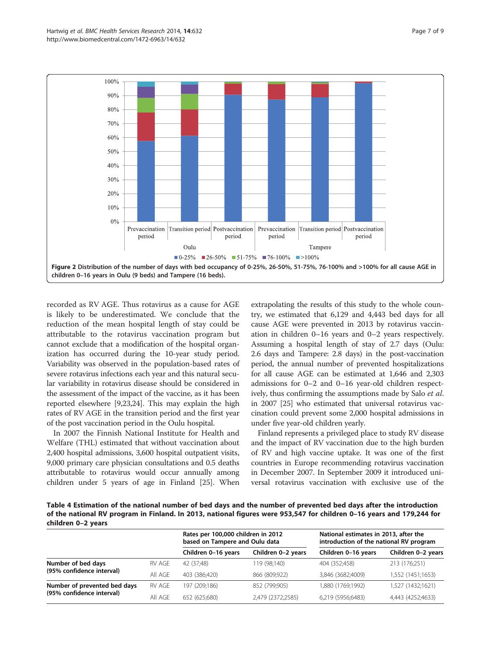<span id="page-7-0"></span>

recorded as RV AGE. Thus rotavirus as a cause for AGE is likely to be underestimated. We conclude that the reduction of the mean hospital length of stay could be attributable to the rotavirus vaccination program but cannot exclude that a modification of the hospital organization has occurred during the 10-year study period. Variability was observed in the population-based rates of severe rotavirus infections each year and this natural secular variability in rotavirus disease should be considered in the assessment of the impact of the vaccine, as it has been reported elsewhere [[9,](#page-8-0)[23,24\]](#page-9-0). This may explain the high rates of RV AGE in the transition period and the first year of the post vaccination period in the Oulu hospital.

In 2007 the Finnish National Institute for Health and Welfare (THL) estimated that without vaccination about 2,400 hospital admissions, 3,600 hospital outpatient visits, 9,000 primary care physician consultations and 0.5 deaths attributable to rotavirus would occur annually among children under 5 years of age in Finland [\[25\]](#page-9-0). When extrapolating the results of this study to the whole country, we estimated that 6,129 and 4,443 bed days for all cause AGE were prevented in 2013 by rotavirus vaccination in children 0–16 years and 0–2 years respectively. Assuming a hospital length of stay of 2.7 days (Oulu: 2.6 days and Tampere: 2.8 days) in the post-vaccination period, the annual number of prevented hospitalizations for all cause AGE can be estimated at 1,646 and 2,303 admissions for 0–2 and 0–16 year-old children respectively, thus confirming the assumptions made by Salo et al. in 2007 [\[25\]](#page-9-0) who estimated that universal rotavirus vaccination could prevent some 2,000 hospital admissions in under five year-old children yearly.

Finland represents a privileged place to study RV disease and the impact of RV vaccination due to the high burden of RV and high vaccine uptake. It was one of the first countries in Europe recommending rotavirus vaccination in December 2007. In September 2009 it introduced universal rotavirus vaccination with exclusive use of the

Table 4 Estimation of the national number of bed days and the number of prevented bed days after the introduction of the national RV program in Finland. In 2013, national figures were 953,547 for children 0–16 years and 179,244 for children 0–2 years

|                              |         | Rates per 100,000 children in 2012<br>based on Tampere and Oulu data |                    | National estimates in 2013, after the<br>introduction of the national RV program |                    |  |  |
|------------------------------|---------|----------------------------------------------------------------------|--------------------|----------------------------------------------------------------------------------|--------------------|--|--|
|                              |         | Children 0-16 years                                                  | Children 0-2 years | Children 0-16 years                                                              | Children 0-2 years |  |  |
| Number of bed days           | RV AGE  | 42 (37:48)                                                           | 119 (98:140)       | 404 (352:458)                                                                    | 213 (176;251)      |  |  |
| (95% confidence interval)    | AII AGE | 403 (386:420)                                                        | 866 (809;922)      | 3,846 (3682;4009)                                                                | 1,552 (1451;1653)  |  |  |
| Number of prevented bed days | RV AGE  | 197 (209:186)                                                        | 852 (799;905)      | 1,880 (1769;1992)                                                                | 1,527 (1432;1621)  |  |  |
| (95% confidence interval)    | All AGF | 652 (625;680)                                                        | 2,479 (2372;2585)  | 6,219 (5956;6483)                                                                | 4,443 (4252;4633)  |  |  |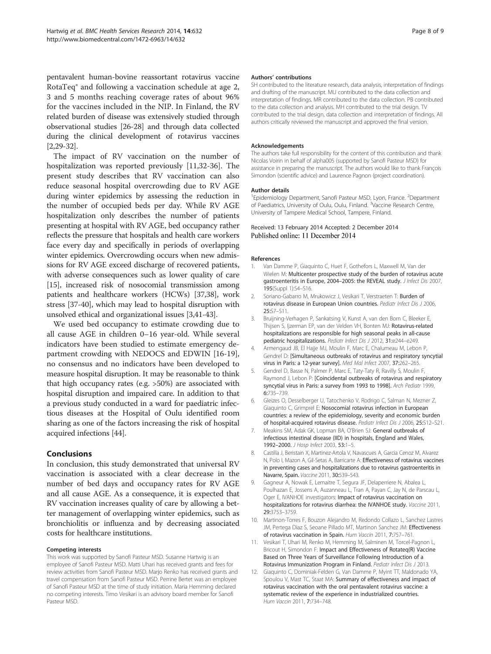<span id="page-8-0"></span>pentavalent human-bovine reassortant rotavirus vaccine RotaTeq® and following a vaccination schedule at age 2, 3 and 5 months reaching coverage rates of about 96% for the vaccines included in the NIP. In Finland, the RV related burden of disease was extensively studied through observational studies [\[26-28\]](#page-9-0) and through data collected during the clinical development of rotavirus vaccines [2,[29](#page-9-0)-[32](#page-9-0)].

The impact of RV vaccination on the number of hospitalization was reported previously [11[,32](#page-9-0)-[36\]](#page-9-0). The present study describes that RV vaccination can also reduce seasonal hospital overcrowding due to RV AGE during winter epidemics by assessing the reduction in the number of occupied beds per day. While RV AGE hospitalization only describes the number of patients presenting at hospital with RV AGE, bed occupancy rather reflects the pressure that hospitals and health care workers face every day and specifically in periods of overlapping winter epidemics. Overcrowding occurs when new admissions for RV AGE exceed discharge of recovered patients, with adverse consequences such as lower quality of care [[15](#page-9-0)], increased risk of nosocomial transmission among patients and healthcare workers (HCWs) [[37,38\]](#page-9-0), work stress [\[37-40\]](#page-9-0), which may lead to hospital disruption with unsolved ethical and organizational issues [3[,41-43\]](#page-9-0).

We used bed occupancy to estimate crowding due to all cause AGE in children 0–16 year-old. While several indicators have been studied to estimate emergency department crowding with NEDOCS and EDWIN [\[16-19](#page-9-0)], no consensus and no indicators have been developed to measure hospital disruption. It may be reasonable to think that high occupancy rates (e.g. >50%) are associated with hospital disruption and impaired care. In addition to that a previous study conducted in a ward for paediatric infectious diseases at the Hospital of Oulu identified room sharing as one of the factors increasing the risk of hospital acquired infections [\[44](#page-9-0)].

# Conclusions

In conclusion, this study demonstrated that universal RV vaccination is associated with a clear decrease in the number of bed days and occupancy rates for RV AGE and all cause AGE. As a consequence, it is expected that RV vaccination increases quality of care by allowing a better management of overlapping winter epidemics, such as bronchiolitis or influenza and by decreasing associated costs for healthcare institutions.

#### Competing interests

This work was supported by Sanofi Pasteur MSD. Susanne Hartwig is an employee of Sanofi Pasteur MSD. Matti Uhari has received grants and fees for review activities from Sanofi Pasteur MSD. Marjo Renko has received grants and travel compensation from Sanofi Pasteur MSD. Perrine Bertet was an employee of Sanofi Pasteur MSD at the time of study initiation. Maria Hemming declared no competing interests. Timo Vesikari is an advisory board member for Sanofi Pasteur MSD.

#### Authors' contributions

SH contributed to the literature research, data analysis, interpretation of findings and drafting of the manuscript. MU contributed to the data collection and interpretation of findings. MR contributed to the data collection. PB contributed to the data collection and analysis. MH contributed to the trial design. TV contributed to the trial design, data collection and interpretation of findings. All authors critically reviewed the manuscript and approved the final version.

#### Acknowledgements

The authors take full responsibility for the content of this contribution and thank Nicolas Voirin in behalf of alpha005 (supported by Sanofi Pasteur MSD) for assistance in preparing the manuscript. The authors would like to thank François Simondon (scientific advice) and Laurence Pagnon (project coordination).

#### Author details

<sup>1</sup> Epidemiology Department, Sanofi Pasteur MSD, Lyon, France. <sup>2</sup> Department of Paediatrics, University of Oulu, Oulu, Finland. <sup>3</sup>Vaccine Research Centre, University of Tampere Medical School, Tampere, Finland.

#### Received: 13 February 2014 Accepted: 2 December 2014 Published online: 11 December 2014

#### References

- 1. Van Damme P, Giaquinto C, Huet F, Gothefors L, Maxwell M, Van der Wielen M: Multicenter prospective study of the burden of rotavirus acute gastroenteritis in Europe, 2004–2005: the REVEAL study. J Infect Dis 2007, 195(Suppl 1):S4–S16.
- 2. Soriano-Gabarro M, Mrukowicz J, Vesikari T, Verstraeten T: Burden of rotavirus disease in European Union countries. Pediatr Infect Dis J 2006. 25:S7–S11.
- 3. Bruijning-Verhagen P, Sankatsing V, Kunst A, van den Born C, Bleeker E, Thijsen S, Ijzerman EP, van der Velden VH, Bonten MJ: Rotavirus-related hospitalizations are responsible for high seasonal peaks in all-cause pediatric hospitalizations. Pediatr Infect Dis J 2012, 31:e244–e249.
- 4. Armengaud JB, El Hajje MJ, Moulin F, Marc E, Chalumeau M, Lebon P, Gendrel D: [Simultaneous outbreaks of rotavirus and respiratory syncytial virus in Paris: a 12-year survey]. Med Mal Infect 2007, 37:262-265.
- 5. Gendrel D, Basse N, Palmer P, Marc E, Taty-Taty R, Ravilly S, Moulin F, Raymond J, Lebon P: [Coincidental outbreaks of rotavirus and respiratory syncytial virus in Paris: a survey from 1993 to 1998]. Arch Pediatr 1999, 6:735–739.
- 6. Gleizes O, Desselberger U, Tatochenko V, Rodrigo C, Salman N, Mezner Z, Giaquinto C, Grimprel E: Nosocomial rotavirus infection in European countries: a review of the epidemiology, severity and economic burden of hospital-acquired rotavirus disease. Pediatr Infect Dis J 2006, 25:S12–S21.
- 7. Meakins SM, Adak GK, Lopman BA, O'Brien SJ: General outbreaks of infectious intestinal disease (IID) in hospitals, England and Wales, 1992–2000. *J Hosp Infect* 2003, 53:1-5.
- 8. Castilla J, Beristain X, Martinez-Artola V, Navascues A, Garcia Cenoz M, Alvarez N, Polo I, Mazon A, Gil-Setas A, Barricarte A: Effectiveness of rotavirus vaccines in preventing cases and hospitalizations due to rotavirus gastroenteritis in Navarre, Spain. Vaccine 2011, 30:539–543.
- 9. Gagneur A, Nowak E, Lemaitre T, Segura JF, Delaperriere N, Abalea L, Poulhazan E, Jossens A, Auzanneau L, Tran A, Payan C, Jay N, de Parscau L, Oger E, IVANHOE investigators: Impact of rotavirus vaccination on hospitalizations for rotavirus diarrhea: the IVANHOE study. Vaccine 2011, 29:3753–3759.
- 10. Martinon-Torres F, Bouzon Alejandro M, Redondo Collazo L, Sanchez Lastres JM, Pertega Diaz S, Seoane Pillado MT, Martinon Sanchez JM: Effectiveness of rotavirus vaccination in Spain. Hum Vaccin 2011, 7:757–761.
- 11. Vesikari T, Uhari M, Renko M, Hemming M, Salminen M, Torcel-Pagnon L, Bricout H, Simondon F: Impact and Effectiveness of Rotateq(R) Vaccine Based on Three Years of Surveillance Following Introduction of a Rotavirus Immunization Program in Finland. Pediatr Infect Dis J 2013.
- 12. Giaquinto C, Dominiak-Felden G, Van Damme P, Myint TT, Maldonado YA, Spoulou V, Mast TC, Staat MA: Summary of effectiveness and impact of rotavirus vaccination with the oral pentavalent rotavirus vaccine: a systematic review of the experience in industrialized countries. Hum Vaccin 2011, 7:734–748.